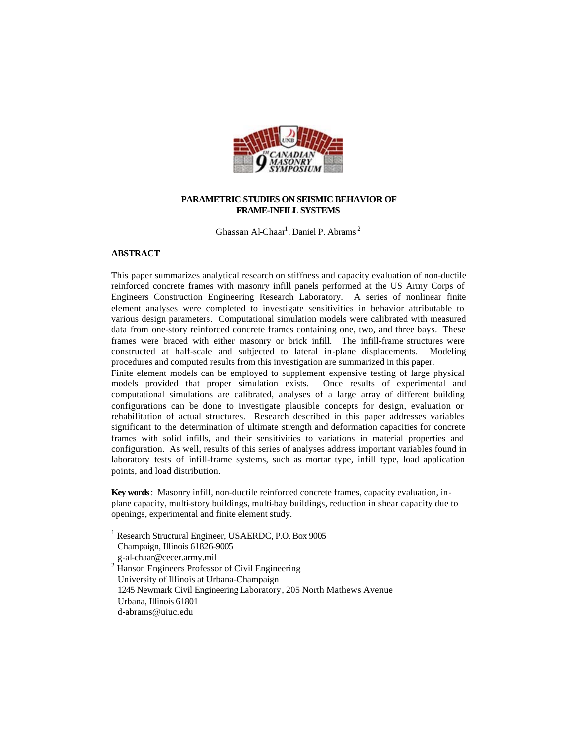

## **PARAMETRIC STUDIES ON SEISMIC BEHAVIOR OF FRAME-INFILL SYSTEMS**

Ghassan Al-Chaar<sup>1</sup>, Daniel P. Abrams<sup>2</sup>

## **ABSTRACT**

This paper summarizes analytical research on stiffness and capacity evaluation of non-ductile reinforced concrete frames with masonry infill panels performed at the US Army Corps of Engineers Construction Engineering Research Laboratory. A series of nonlinear finite element analyses were completed to investigate sensitivities in behavior attributable to various design parameters. Computational simulation models were calibrated with measured data from one-story reinforced concrete frames containing one, two, and three bays. These frames were braced with either masonry or brick infill. The infill-frame structures were constructed at half-scale and subjected to lateral in-plane displacements. Modeling procedures and computed results from this investigation are summarized in this paper.

Finite element models can be employed to supplement expensive testing of large physical models provided that proper simulation exists. Once results of experimental and computational simulations are calibrated, analyses of a large array of different building configurations can be done to investigate plausible concepts for design, evaluation or rehabilitation of actual structures. Research described in this paper addresses variables significant to the determination of ultimate strength and deformation capacities for concrete frames with solid infills, and their sensitivities to variations in material properties and configuration. As well, results of this series of analyses address important variables found in laboratory tests of infill-frame systems, such as mortar type, infill type, load application points, and load distribution.

**Key words**: Masonry infill, non-ductile reinforced concrete frames, capacity evaluation, inplane capacity, multi-story buildings, multi-bay buildings, reduction in shear capacity due to openings, experimental and finite element study.

<sup>1</sup> Research Structural Engineer, USAERDC, P.O. Box 9005 Champaign, Illinois 61826-9005 g-al-chaar@cecer.army.mil <sup>2</sup> Hanson Engineers Professor of Civil Engineering University of Illinois at Urbana-Champaign 1245 Newmark Civil Engineering Laboratory, 205 North Mathews Avenue Urbana, Illinois 61801 d-abrams@uiuc.edu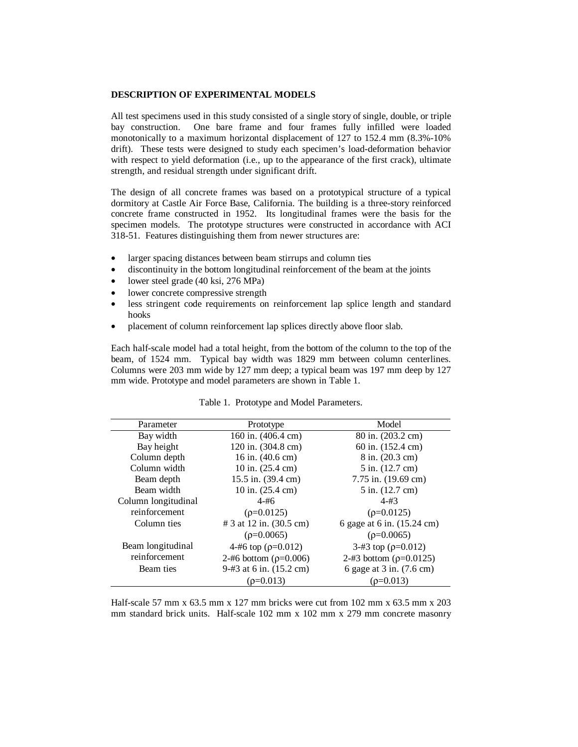#### **DESCRIPTION OF EXPERIMENTAL MODELS**

All test specimens used in this study consisted of a single story of single, double, or triple bay construction. One bare frame and four frames fully infilled were loaded monotonically to a maximum horizontal displacement of 127 to 152.4 mm (8.3%-10% drift). These tests were designed to study each specimen's load-deformation behavior with respect to yield deformation (i.e., up to the appearance of the first crack), ultimate strength, and residual strength under significant drift.

The design of all concrete frames was based on a prototypical structure of a typical dormitory at Castle Air Force Base, California. The building is a three-story reinforced concrete frame constructed in 1952. Its longitudinal frames were the basis for the specimen models. The prototype structures were constructed in accordance with ACI 318-51. Features distinguishing them from newer structures are:

- larger spacing distances between beam stirrups and column ties
- discontinuity in the bottom longitudinal reinforcement of the beam at the joints
- lower steel grade (40 ksi, 276 MPa)
- lower concrete compressive strength
- less stringent code requirements on reinforcement lap splice length and standard hooks
- placement of column reinforcement lap splices directly above floor slab.

Each half-scale model had a total height, from the bottom of the column to the top of the beam, of 1524 mm. Typical bay width was 1829 mm between column centerlines. Columns were 203 mm wide by 127 mm deep; a typical beam was 197 mm deep by 127 mm wide. Prototype and model parameters are shown in Table 1.

| Parameter           | Prototype                    | Model                         |
|---------------------|------------------------------|-------------------------------|
| Bay width           | 160 in. (406.4 cm)           | 80 in. (203.2 cm)             |
| Bay height          | 120 in. (304.8 cm)           | 60 in. (152.4 cm)             |
| Column depth        | 16 in. $(40.6 \text{ cm})$   | $8$ in. $(20.3$ cm)           |
| Column width        | 10 in. $(25.4 \text{ cm})$   | 5 in. (12.7 cm)               |
| Beam depth          | 15.5 in. (39.4 cm)           | 7.75 in. $(19.69 \text{ cm})$ |
| Beam width          | 10 in. (25.4 cm)             | $5$ in. $(12.7$ cm)           |
| Column longitudinal | $4 - 46$                     | $4 - 43$                      |
| reinforcement       | $(\rho = 0.0125)$            | $(\rho = 0.0125)$             |
| Column ties         | # 3 at 12 in. (30.5 cm)      | 6 gage at 6 in. (15.24 cm)    |
|                     | $(\rho = 0.0065)$            | $(\rho=0.0065)$               |
| Beam longitudinal   | 4-#6 top ( $\rho$ =0.012)    | 3-#3 top ( $\rho$ =0.012)     |
| reinforcement       | 2-#6 bottom ( $\rho$ =0.006) | 2-#3 bottom ( $\rho$ =0.0125) |
| Beam ties           | 9-#3 at 6 in. (15.2 cm)      | 6 gage at 3 in. (7.6 cm)      |
|                     | $(0=0.013)$                  | $(0=0.013)$                   |

|  | Table 1. Prototype and Model Parameters. |
|--|------------------------------------------|
|--|------------------------------------------|

Half-scale 57 mm x 63.5 mm x 127 mm bricks were cut from 102 mm x 63.5 mm x 203 mm standard brick units. Half-scale 102 mm x 102 mm x 279 mm concrete masonry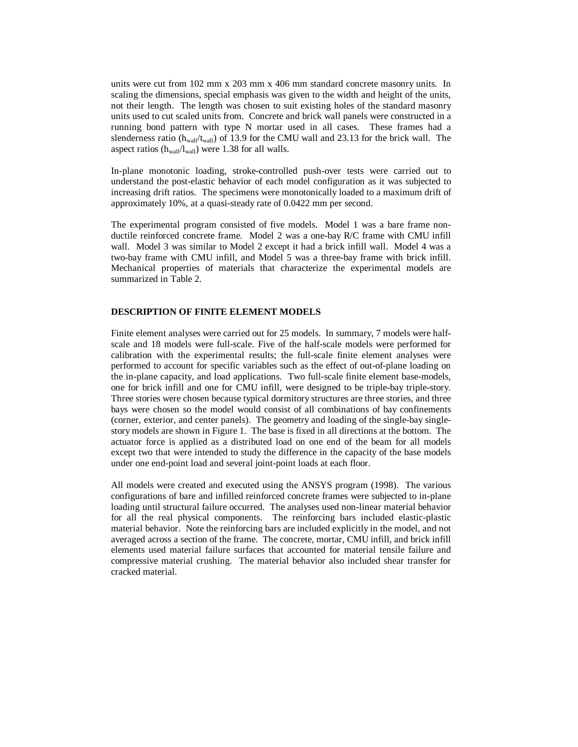units were cut from 102 mm x 203 mm x 406 mm standard concrete masonry units. In scaling the dimensions, special emphasis was given to the width and height of the units, not their length. The length was chosen to suit existing holes of the standard masonry units used to cut scaled units from. Concrete and brick wall panels were constructed in a running bond pattern with type N mortar used in all cases. These frames had a slenderness ratio ( $h_{wall}/t_{wall}$ ) of 13.9 for the CMU wall and 23.13 for the brick wall. The aspect ratios  $(h_{wall}/l_{wall})$  were 1.38 for all walls.

In-plane monotonic loading, stroke-controlled push-over tests were carried out to understand the post-elastic behavior of each model configuration as it was subjected to increasing drift ratios. The specimens were monotonically loaded to a maximum drift of approximately 10%, at a quasi-steady rate of 0.0422 mm per second.

The experimental program consisted of five models. Model 1 was a bare frame nonductile reinforced concrete frame. Model 2 was a one-bay R/C frame with CMU infill wall. Model 3 was similar to Model 2 except it had a brick infill wall. Model 4 was a two-bay frame with CMU infill, and Model 5 was a three-bay frame with brick infill. Mechanical properties of materials that characterize the experimental models are summarized in Table 2.

## **DESCRIPTION OF FINITE ELEMENT MODELS**

Finite element analyses were carried out for 25 models. In summary, 7 models were halfscale and 18 models were full-scale. Five of the half-scale models were performed for calibration with the experimental results; the full-scale finite element analyses were performed to account for specific variables such as the effect of out-of-plane loading on the in-plane capacity, and load applications. Two full-scale finite element base-models, one for brick infill and one for CMU infill, were designed to be triple-bay triple-story. Three stories were chosen because typical dormitory structures are three stories, and three bays were chosen so the model would consist of all combinations of bay confinements (corner, exterior, and center panels). The geometry and loading of the single-bay singlestory models are shown in Figure 1. The base is fixed in all directions at the bottom. The actuator force is applied as a distributed load on one end of the beam for all models except two that were intended to study the difference in the capacity of the base models under one end-point load and several joint-point loads at each floor.

All models were created and executed using the ANSYS program (1998). The various configurations of bare and infilled reinforced concrete frames were subjected to in-plane loading until structural failure occurred. The analyses used non-linear material behavior for all the real physical components. The reinforcing bars included elastic-plastic material behavior. Note the reinforcing bars are included explicitly in the model, and not averaged across a section of the frame. The concrete, mortar, CMU infill, and brick infill elements used material failure surfaces that accounted for material tensile failure and compressive material crushing. The material behavior also included shear transfer for cracked material.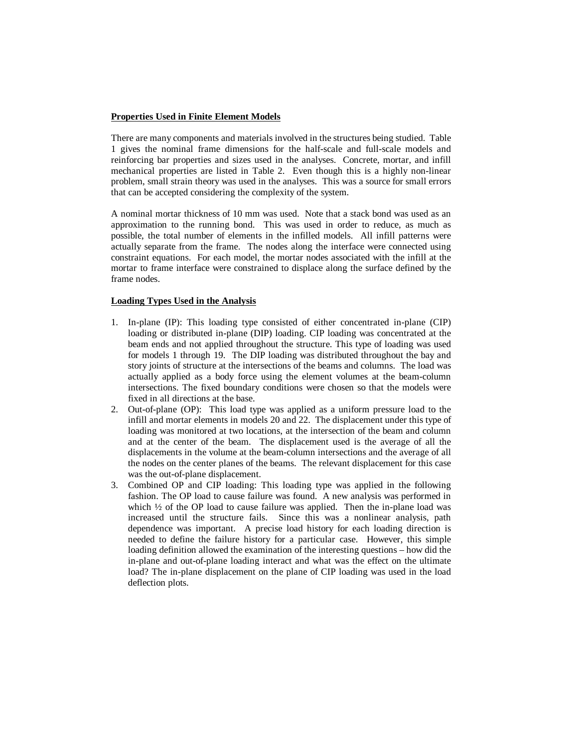## **Properties Used in Finite Element Models**

There are many components and materials involved in the structures being studied. Table 1 gives the nominal frame dimensions for the half-scale and full-scale models and reinforcing bar properties and sizes used in the analyses. Concrete, mortar, and infill mechanical properties are listed in Table 2. Even though this is a highly non-linear problem, small strain theory was used in the analyses. This was a source for small errors that can be accepted considering the complexity of the system.

A nominal mortar thickness of 10 mm was used. Note that a stack bond was used as an approximation to the running bond. This was used in order to reduce, as much as possible, the total number of elements in the infilled models. All infill patterns were actually separate from the frame. The nodes along the interface were connected using constraint equations. For each model, the mortar nodes associated with the infill at the mortar to frame interface were constrained to displace along the surface defined by the frame nodes.

### **Loading Types Used in the Analysis**

- 1. In-plane (IP): This loading type consisted of either concentrated in-plane (CIP) loading or distributed in-plane (DIP) loading. CIP loading was concentrated at the beam ends and not applied throughout the structure. This type of loading was used for models 1 through 19. The DIP loading was distributed throughout the bay and story joints of structure at the intersections of the beams and columns. The load was actually applied as a body force using the element volumes at the beam-column intersections. The fixed boundary conditions were chosen so that the models were fixed in all directions at the base.
- 2. Out-of-plane (OP): This load type was applied as a uniform pressure load to the infill and mortar elements in models 20 and 22. The displacement under this type of loading was monitored at two locations, at the intersection of the beam and column and at the center of the beam. The displacement used is the average of all the displacements in the volume at the beam-column intersections and the average of all the nodes on the center planes of the beams. The relevant displacement for this case was the out-of-plane displacement.
- 3. Combined OP and CIP loading: This loading type was applied in the following fashion. The OP load to cause failure was found. A new analysis was performed in which <sup>1</sup>/<sub>2</sub> of the OP load to cause failure was applied. Then the in-plane load was increased until the structure fails. Since this was a nonlinear analysis, path dependence was important. A precise load history for each loading direction is needed to define the failure history for a particular case. However, this simple loading definition allowed the examination of the interesting questions – how did the in-plane and out-of-plane loading interact and what was the effect on the ultimate load? The in-plane displacement on the plane of CIP loading was used in the load deflection plots.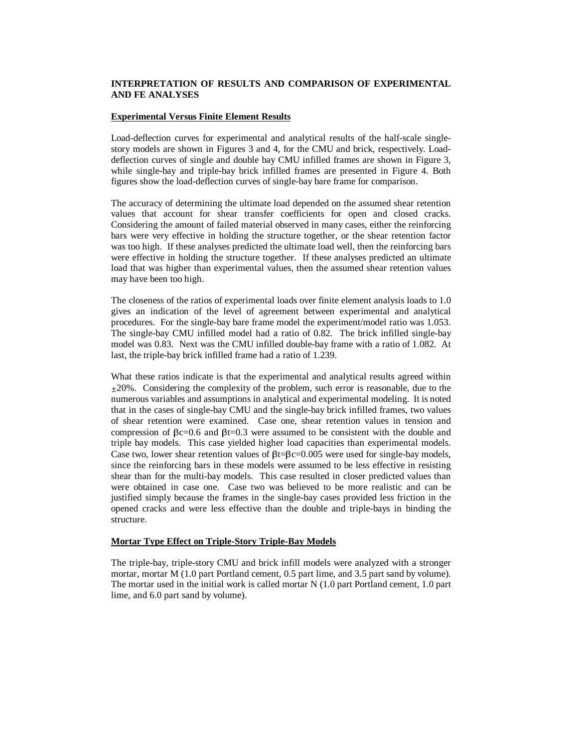## **INTERPRETATION OF RESULTS AND COMPARISON OF EXPERIMENTAL AND FE ANALYSES**

### **Experimental Versus Finite Element Results**

Load-deflection curves for experimental and analytical results of the half-scale singlestory models are shown in Figures 3 and 4, for the CMU and brick, respectively. Loaddeflection curves of single and double bay CMU infilled frames are shown in Figure 3, while single-bay and triple-bay brick infilled frames are presented in Figure 4. Both figures show the load-deflection curves of single-bay bare frame for comparison.

The accuracy of determining the ultimate load depended on the assumed shear retention values that account for shear transfer coefficients for open and closed cracks. Considering the amount of failed material observed in many cases, either the reinforcing bars were very effective in holding the structure together, or the shear retention factor was too high. If these analyses predicted the ultimate load well, then the reinforcing bars were effective in holding the structure together. If these analyses predicted an ultimate load that was higher than experimental values, then the assumed shear retention values may have been too high.

The closeness of the ratios of experimental loads over finite element analysis loads to 1.0 gives an indication of the level of agreement between experimental and analytical procedures. For the single-bay bare frame model the experiment/model ratio was 1.053. The single-bay CMU infilled model had a ratio of 0.82. The brick infilled single-bay model was 0.83. Next was the CMU infilled double-bay frame with a ratio of 1.082. At last, the triple-bay brick infilled frame had a ratio of 1.239.

What these ratios indicate is that the experimental and analytical results agreed within  $\pm 20\%$ . Considering the complexity of the problem, such error is reasonable, due to the numerous variables and assumptions in analytical and experimental modeling. It is noted that in the cases of single-bay CMU and the single-bay brick infilled frames, two values of shear retention were examined. Case one, shear retention values in tension and compression of  $\beta c=0.6$  and  $\beta t=0.3$  were assumed to be consistent with the double and triple bay models. This case yielded higher load capacities than experimental models. Case two, lower shear retention values of  $\beta t = \beta c = 0.005$  were used for single-bay models, since the reinforcing bars in these models were assumed to be less effective in resisting shear than for the multi-bay models. This case resulted in closer predicted values than were obtained in case one. Case two was believed to be more realistic and can be justified simply because the frames in the single-bay cases provided less friction in the opened cracks and were less effective than the double and triple-bays in binding the structure.

#### **Mortar Type Effect on Triple-Story Triple-Bay Models**

The triple-bay, triple-story CMU and brick infill models were analyzed with a stronger mortar, mortar M (1.0 part Portland cement, 0.5 part lime, and 3.5 part sand by volume). The mortar used in the initial work is called mortar N (1.0 part Portland cement, 1.0 part lime, and 6.0 part sand by volume).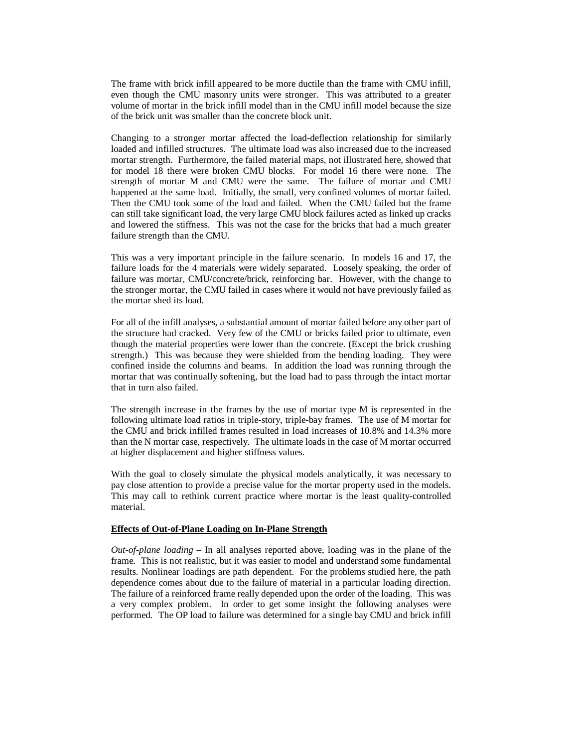The frame with brick infill appeared to be more ductile than the frame with CMU infill, even though the CMU masonry units were stronger. This was attributed to a greater volume of mortar in the brick infill model than in the CMU infill model because the size of the brick unit was smaller than the concrete block unit.

Changing to a stronger mortar affected the load-deflection relationship for similarly loaded and infilled structures. The ultimate load was also increased due to the increased mortar strength. Furthermore, the failed material maps, not illustrated here, showed that for model 18 there were broken CMU blocks. For model 16 there were none. The strength of mortar M and CMU were the same. The failure of mortar and CMU happened at the same load. Initially, the small, very confined volumes of mortar failed. Then the CMU took some of the load and failed. When the CMU failed but the frame can still take significant load, the very large CMU block failures acted as linked up cracks and lowered the stiffness. This was not the case for the bricks that had a much greater failure strength than the CMU.

This was a very important principle in the failure scenario. In models 16 and 17, the failure loads for the 4 materials were widely separated. Loosely speaking, the order of failure was mortar, CMU/concrete/brick, reinforcing bar. However, with the change to the stronger mortar, the CMU failed in cases where it would not have previously failed as the mortar shed its load.

For all of the infill analyses, a substantial amount of mortar failed before any other part of the structure had cracked. Very few of the CMU or bricks failed prior to ultimate, even though the material properties were lower than the concrete. (Except the brick crushing strength.) This was because they were shielded from the bending loading. They were confined inside the columns and beams. In addition the load was running through the mortar that was continually softening, but the load had to pass through the intact mortar that in turn also failed.

The strength increase in the frames by the use of mortar type M is represented in the following ultimate load ratios in triple-story, triple-bay frames. The use of M mortar for the CMU and brick infilled frames resulted in load increases of 10.8% and 14.3% more than the N mortar case, respectively. The ultimate loads in the case of M mortar occurred at higher displacement and higher stiffness values.

With the goal to closely simulate the physical models analytically, it was necessary to pay close attention to provide a precise value for the mortar property used in the models. This may call to rethink current practice where mortar is the least quality-controlled material.

### **Effects of Out-of-Plane Loading on In-Plane Strength**

*Out-of-plane loading* – In all analyses reported above, loading was in the plane of the frame. This is not realistic, but it was easier to model and understand some fundamental results. Nonlinear loadings are path dependent. For the problems studied here, the path dependence comes about due to the failure of material in a particular loading direction. The failure of a reinforced frame really depended upon the order of the loading. This was a very complex problem. In order to get some insight the following analyses were performed. The OP load to failure was determined for a single bay CMU and brick infill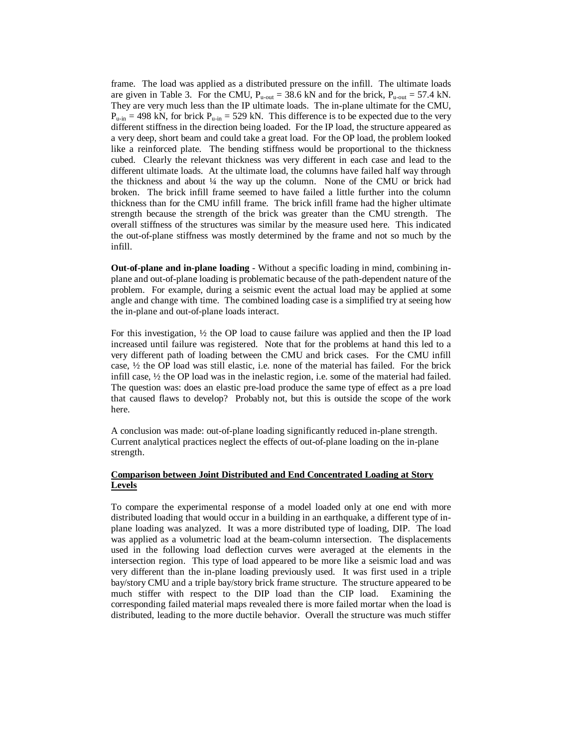frame. The load was applied as a distributed pressure on the infill. The ultimate loads are given in Table 3. For the CMU,  $P_{u-out} = 38.6$  kN and for the brick,  $P_{u-out} = 57.4$  kN. They are very much less than the IP ultimate loads. The in-plane ultimate for the CMU,  $P_{\text{u-in}}$  = 498 kN, for brick  $P_{\text{u-in}}$  = 529 kN. This difference is to be expected due to the very different stiffness in the direction being loaded. For the IP load, the structure appeared as a very deep, short beam and could take a great load. For the OP load, the problem looked like a reinforced plate. The bending stiffness would be proportional to the thickness cubed. Clearly the relevant thickness was very different in each case and lead to the different ultimate loads. At the ultimate load, the columns have failed half way through the thickness and about  $\frac{1}{4}$  the way up the column. None of the CMU or brick had broken. The brick infill frame seemed to have failed a little further into the column thickness than for the CMU infill frame. The brick infill frame had the higher ultimate strength because the strength of the brick was greater than the CMU strength. The overall stiffness of the structures was similar by the measure used here. This indicated the out-of-plane stiffness was mostly determined by the frame and not so much by the infill.

**Out-of-plane and in-plane loading** - Without a specific loading in mind, combining inplane and out-of-plane loading is problematic because of the path-dependent nature of the problem. For example, during a seismic event the actual load may be applied at some angle and change with time. The combined loading case is a simplified try at seeing how the in-plane and out-of-plane loads interact.

For this investigation,  $\frac{1}{2}$  the OP load to cause failure was applied and then the IP load increased until failure was registered. Note that for the problems at hand this led to a very different path of loading between the CMU and brick cases. For the CMU infill case,  $\frac{1}{2}$  the OP load was still elastic, i.e. none of the material has failed. For the brick infill case,  $\frac{1}{2}$  the OP load was in the inelastic region, i.e. some of the material had failed. The question was: does an elastic pre-load produce the same type of effect as a pre load that caused flaws to develop? Probably not, but this is outside the scope of the work here.

A conclusion was made: out-of-plane loading significantly reduced in-plane strength. Current analytical practices neglect the effects of out-of-plane loading on the in-plane strength.

# **Comparison between Joint Distributed and End Concentrated Loading at Story Levels**

To compare the experimental response of a model loaded only at one end with more distributed loading that would occur in a building in an earthquake, a different type of inplane loading was analyzed. It was a more distributed type of loading, DIP. The load was applied as a volumetric load at the beam-column intersection. The displacements used in the following load deflection curves were averaged at the elements in the intersection region. This type of load appeared to be more like a seismic load and was very different than the in-plane loading previously used. It was first used in a triple bay/story CMU and a triple bay/story brick frame structure. The structure appeared to be much stiffer with respect to the DIP load than the CIP load. Examining the corresponding failed material maps revealed there is more failed mortar when the load is distributed, leading to the more ductile behavior. Overall the structure was much stiffer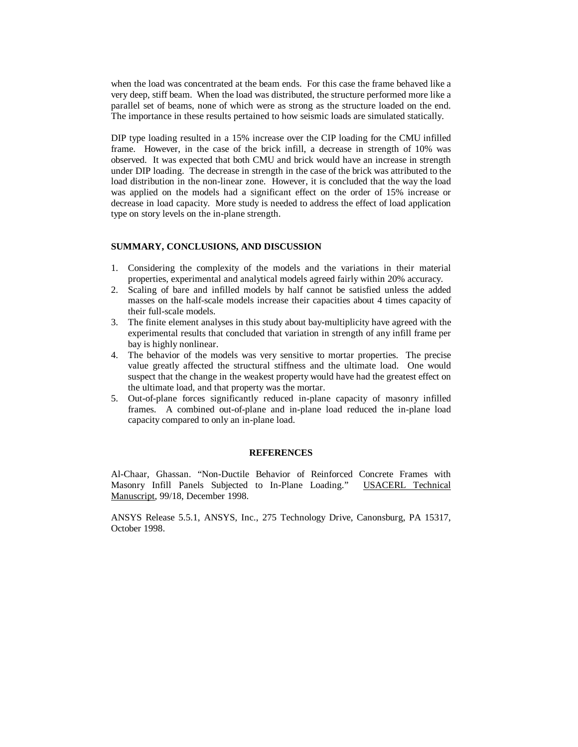when the load was concentrated at the beam ends. For this case the frame behaved like a very deep, stiff beam. When the load was distributed, the structure performed more like a parallel set of beams, none of which were as strong as the structure loaded on the end. The importance in these results pertained to how seismic loads are simulated statically.

DIP type loading resulted in a 15% increase over the CIP loading for the CMU infilled frame. However, in the case of the brick infill, a decrease in strength of 10% was observed. It was expected that both CMU and brick would have an increase in strength under DIP loading. The decrease in strength in the case of the brick was attributed to the load distribution in the non-linear zone. However, it is concluded that the way the load was applied on the models had a significant effect on the order of 15% increase or decrease in load capacity. More study is needed to address the effect of load application type on story levels on the in-plane strength.

#### **SUMMARY, CONCLUSIONS, AND DISCUSSION**

- 1. Considering the complexity of the models and the variations in their material properties, experimental and analytical models agreed fairly within 20% accuracy.
- 2. Scaling of bare and infilled models by half cannot be satisfied unless the added masses on the half-scale models increase their capacities about 4 times capacity of their full-scale models.
- 3. The finite element analyses in this study about bay-multiplicity have agreed with the experimental results that concluded that variation in strength of any infill frame per bay is highly nonlinear.
- 4. The behavior of the models was very sensitive to mortar properties. The precise value greatly affected the structural stiffness and the ultimate load. One would suspect that the change in the weakest property would have had the greatest effect on the ultimate load, and that property was the mortar.
- 5. Out-of-plane forces significantly reduced in-plane capacity of masonry infilled frames. A combined out-of-plane and in-plane load reduced the in-plane load capacity compared to only an in-plane load.

### **REFERENCES**

Al-Chaar, Ghassan. "Non-Ductile Behavior of Reinforced Concrete Frames with Masonry Infill Panels Subjected to In-Plane Loading." USACERL Technical Manuscript, 99/18, December 1998.

ANSYS Release 5.5.1, ANSYS, Inc., 275 Technology Drive, Canonsburg, PA 15317, October 1998.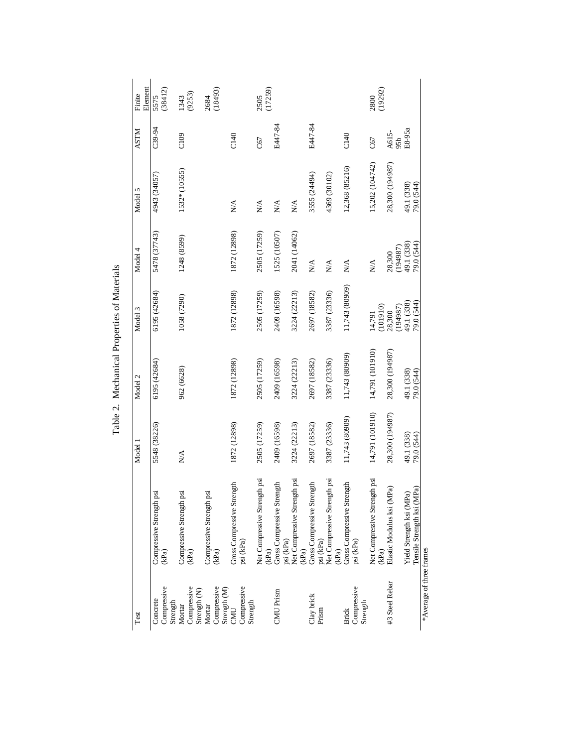| Test                                    |                                                        | Model 1                  | Model 2                  | Model 3                  | Model 4                   | Model 5                         | <b>ASTM</b>  | Element<br>Finite |
|-----------------------------------------|--------------------------------------------------------|--------------------------|--------------------------|--------------------------|---------------------------|---------------------------------|--------------|-------------------|
| Compressive<br>Concrete<br>Strength     | Compressive Strength psi<br>(kPa)                      | 5548 (38226)             | 6195 (42684)             | 6195 (42684)             | 5478 (37743)              | 4943 (34057)                    | C39-94       | (38412)<br>5575   |
| Compressive<br>Strength (N)<br>Mortar   | Compressive Strength psi<br>(kPa)                      | <b>NA</b>                | 962 (6628)               | 1058 (7290)              | 1248 (8599)               | 1532* (10555)                   | C109         | (9253)<br>1343    |
| Compressive<br>Strength (M)<br>Mortar   | Compressive Strength psi<br>(kPa)                      |                          |                          |                          |                           |                                 |              | 2684<br>(18493)   |
| Compressive<br>Strength<br>CMU          | Gross Compressive Strength<br>psi (kPa)                | 1872 (12898)             | 1872 (12898)             | 1872 (12898)             | 1872 (12898)              | N/A                             | C140         |                   |
|                                         | Net Compressive Strength psi<br>(kPa)                  | 2505 (17259)             | 2505 (17259)             | 2505 (17259)             | 2505 (17259)              | $\stackrel{\triangle}{\geq}$    | C67          | (17259)<br>2505   |
| CMU Prism                               | Gross Compressive Strength<br>psi (kPa)                | 2409 (16598)             | 2409 (16598)             | 2409 (16598)             | 1525 (10507)              | $\stackrel{\triangle}{\geq}$    | E447-84      |                   |
|                                         | Net Compressive Strength psi<br>(kPa)                  | 3224 (22213)             | 3224 (22213)             | 3224 (22213)             | 2041 (14062)              | $\stackrel{\triangle}{\approx}$ |              |                   |
| Clay brick<br>Prism                     | Gross Compressive Strength<br>psi (kPa)                | 2697 (18582)             | 2697 (18582)             | 2697 (18582)             | $\mathbb{N}^{\mathbb{A}}$ | 3555 (24494)                    | E447-84      |                   |
|                                         | Net Compressive Strength psi<br>(kPa)                  | 3387 (23336)             | 3387 (23336)             | 3387 (23336)             | $N\mathsf{A}$             | 4369 (30102)                    |              |                   |
| Compressive<br>Strength<br><b>Brick</b> | Gross Compressive Strength<br>psi (kPa)                | 11,743 (80909)           | 11,743 (80909)           | 11,743 (80909)           | $\mathbb{N}^{\mathbb{A}}$ | 12,368 (85216)                  | C140         |                   |
|                                         | Net Compressive Strength psi<br>(kPa)                  | 14,791 (101910)          | 14,791 (101910)          | (101910)<br>14,791       | $\sum_{i=1}^{n}$          | 15,202 (104742)                 | C67          | 2800<br>(19292)   |
| #3 Steel Rebar                          | Elastic Modulus ksi (MPa)                              | 28,300 (194987)          | 28,300 (194987)          | (194987)<br>28,300       | (194987)<br>28,300        | 28,300 (194987)                 | A615-<br>95b |                   |
|                                         | Yield Strength ksi (MPa)<br>Tensile Strength ksi (MPa) | 49.1 (338)<br>79.0 (544) | 49.1 (338)<br>79.0 (544) | 49.1 (338)<br>79.0 (544) | 49.1 (338)<br>79.0 (544)  | 49.1 (338)<br>79.0 (544)        | E8-95a       |                   |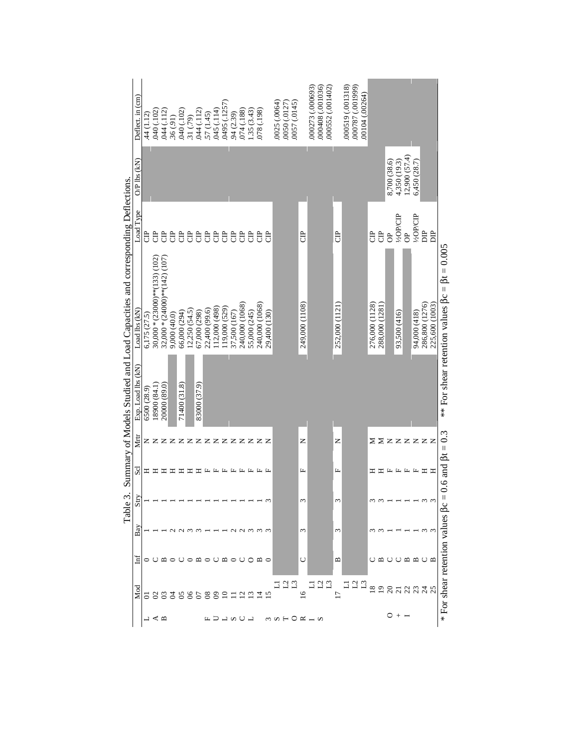| Deflect. in (cm)                                                                              | 44 (1.12)    | 040 (.102)                  | .044(.112)                          | .36(.91)     | 040 (.102)   | 31 (.79)      | .044(.112)   | .57(1.45)                       | 045 (.114)    | 0495 (.1257)  | 94 (2.39)                                                                                     | 074 (.188)     | 1.35(3.43)               | (861') 8/0                         |                 | 0025 (.0064)<br>0050 (.0127) | 0057 (.0145)   |                 | 000408 (.001036)<br>000552 (.001402)<br>000273 (.000693) |                 | 000519 (.001318)<br>000787 (.001999)<br>00104 (.00264) |                 |                 |              |                       |                                                                                        |                       |                 |                                                    |
|-----------------------------------------------------------------------------------------------|--------------|-----------------------------|-------------------------------------|--------------|--------------|---------------|--------------|---------------------------------|---------------|---------------|-----------------------------------------------------------------------------------------------|----------------|--------------------------|------------------------------------|-----------------|------------------------------|----------------|-----------------|----------------------------------------------------------|-----------------|--------------------------------------------------------|-----------------|-----------------|--------------|-----------------------|----------------------------------------------------------------------------------------|-----------------------|-----------------|----------------------------------------------------|
| $OP$ lbs $(kN)$                                                                               |              |                             |                                     |              |              |               |              |                                 |               |               |                                                                                               |                |                          |                                    |                 |                              |                |                 |                                                          |                 |                                                        |                 |                 | 8,700 (38.6) | 4,350 (19.3)          | 12,900(57.4)                                                                           | 6,450 (28.7)          |                 |                                                    |
| Load Type                                                                                     | ට්           | e<br>G                      | $\ddot{a}$                          | e<br>G       | e<br>G       | e<br>G        | <b>B</b>     | <b>B</b>                        | e<br>G        | <sub>e</sub>  | e<br>G                                                                                        | e<br>G         | e<br>G                   | Ĵ                                  | $\ddot{\theta}$ |                              |                | <b>B</b>        |                                                          | Ĵ               |                                                        | Ĵ               | <b>B</b>        | $\sigma$     | V <sub>2</sub> OP/CIP | $\epsilon$                                                                             | V <sub>2</sub> OP/CIP | È               | $\overline{a}$                                     |
| Summary of Models Studied and Load Capacities and corresponding Deflections.<br>Load lbs (kN) | 6,175 (27.5) | $30,000*(23000)*(133)(102)$ | 32,000 * $(24000)$ ** $(142)$ (107) | 9,000 (40.0) | 66,000 (294) | 12,250(54.5)  | 67,000 (298) | 22,400 (99.6)                   | 112,000 (498) | 119,000 (529) | 37,500 (167)                                                                                  | 240,000 (1068) | 55,000 (245)             | 240,000 (1068)                     | 29,400 (130)    |                              |                | 249,000 (1108)  |                                                          | 252,000 (1121)  |                                                        | 276,000 (1128)  | 288,000 (1281)  |              | 93,500 (416)          |                                                                                        | 94,000 (418)          | 286,800 (1276)  | $\beta t = 0.005$<br>$\bar{\Pi}$<br>225,600 (1003) |
| Exp. Load lbs (kN)                                                                            | 6500 (28.9)  | 18900 (84.1)                | 20000 (89.0)                        |              | 71400 (31.8) |               | 83000 (37.9) |                                 |               |               |                                                                                               |                |                          |                                    |                 |                              |                |                 |                                                          |                 |                                                        |                 |                 |              |                       |                                                                                        |                       |                 | ** For shear retention values Bc                   |
| Мщ                                                                                            |              |                             |                                     |              |              |               |              |                                 |               |               |                                                                                               |                |                          | <b>Z Z Z Z Z Z Z Z Z Z Z Z Z Z</b> |                 |                              |                | z               |                                                          | z               |                                                        |                 |                 |              |                       |                                                                                        |                       | <b>ΣΣzzzzzz</b> |                                                    |
| Scl                                                                                           | Ξ            | 모                           | ᄇ                                   | Ξ            | Ξ            |               | $\Xi$ $\Xi$  |                                 |               |               | $\begin{array}{ccccccccccccccccc} \bot & \bot & \bot & \bot & \bot & \bot & \bot \end{array}$ |                |                          | 圧 圧 圧                              |                 |                              |                | $\mathbf{L}$    |                                                          | Щ               |                                                        | ェ               | ェ               |              |                       | $\begin{array}{ccccccccccccccccc} \bot & \bot & \bot & \bot & \bot & \bot \end{array}$ |                       | Ξ               | 0.6 and $\beta t = 0.3$<br>ᄑ                       |
| Table 3<br>Stry                                                                               |              |                             |                                     |              |              |               |              |                                 |               |               |                                                                                               |                |                          |                                    | $\sim$          |                              |                | 3               |                                                          | 3               |                                                        |                 |                 |              |                       |                                                                                        |                       | $\omega$        |                                                    |
| Bay                                                                                           |              |                             |                                     |              |              |               |              |                                 |               |               |                                                                                               |                |                          |                                    |                 |                              |                | 3               |                                                          | $\sim$          |                                                        |                 |                 |              |                       |                                                                                        |                       |                 |                                                    |
| Ξ                                                                                             | ◓            |                             | ≃                                   | $\circ$      |              | $\circ$       |              | $\mathfrak{a}\circ\mathfrak{c}$ |               | $\mathbf{m}$  | $\circ$ 0                                                                                     |                | $\circ$                  | $\mathfrak{a}$ $\circ$             |                 |                              |                | O               |                                                          | $\mathbf{a}$    |                                                        |                 | ≃               | ◡            | ( )                   | $m$ $m$                                                                                |                       | ◡               | ≃                                                  |
| g<br>Mod                                                                                      | ਠ            | $\mathbf{S}$                | $\mathfrak{L}$                      | 혼            | S            | $\mathcal{S}$ |              |                                 | Զ             |               |                                                                                               |                | Ŵ                        | 그                                  |                 | $\mathbf{L}$                 | $\mathbf{L}^3$ | $\overline{16}$ | $\mathbf{L}^2$<br>$\Box$<br>∃                            | $\overline{17}$ | $\mathbf{L}^2$<br>$\mathbf{L}^3$<br>⊐                  | $\overline{18}$ | $\overline{19}$ | $\Omega$     | $\overline{c}$        | 23                                                                                     |                       | $\frac{54}{3}$  | * For shear retention values $\beta c$             |
|                                                                                               |              |                             | ≺ ≃                                 |              |              |               |              |                                 |               | ↵             | ωU                                                                                            |                | $\overline{\phantom{0}}$ |                                    |                 | $m \Omega$ $\vdash$          |                |                 | $QK - M$                                                 |                 |                                                        |                 |                 | 0            |                       |                                                                                        |                       |                 |                                                    |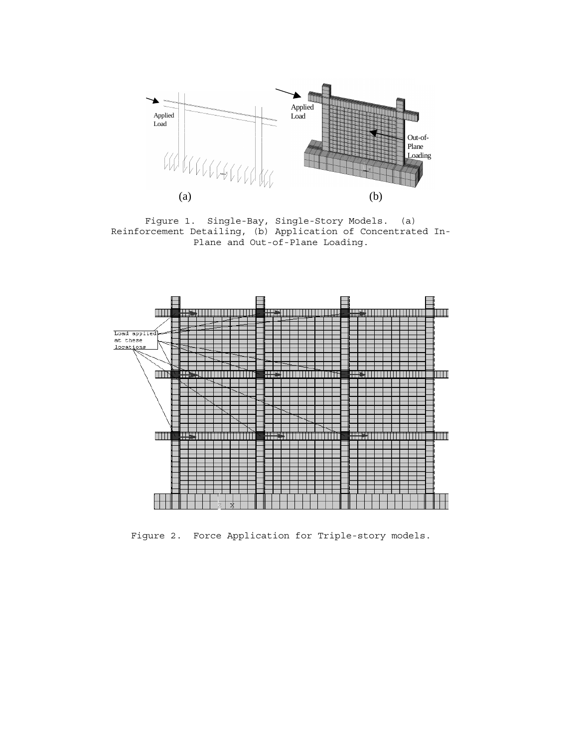

Figure 1. Single-Bay, Single-Story Models. (a) Reinforcement Detailing, (b) Application of Concentrated In-Plane and Out-of-Plane Loading.



Figure 2. Force Application for Triple-story models.